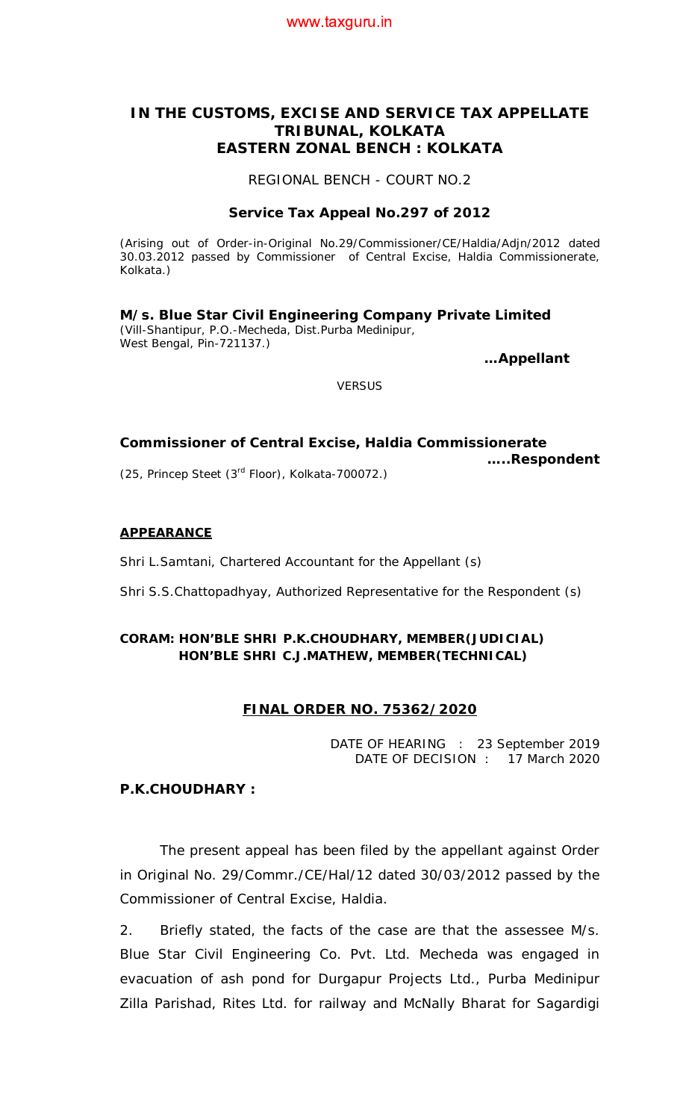### www.taxguru.in

# **IN THE CUSTOMS, EXCISE AND SERVICE TAX APPELLATE TRIBUNAL, KOLKATA EASTERN ZONAL BENCH : KOLKATA**

REGIONAL BENCH - COURT NO.2

#### **Service Tax Appeal No.297 of 2012**

(Arising out of Order-in-Original No.29/Commissioner/CE/Haldia/Adjn/2012 dated 30.03.2012 passed by Commissioner of Central Excise, Haldia Commissionerate, Kolkata.)

**M/s. Blue Star Civil Engineering Company Private Limited** (Vill-Shantipur, P.O.-Mecheda, Dist.Purba Medinipur, West Bengal, Pin-721137.)

**…Appellant** 

*VERSUS*

#### **Commissioner of Central Excise, Haldia Commissionerate …..Respondent**

(25, Princep Steet (3rd Floor), Kolkata-700072.)

#### **APPEARANCE**

Shri L.Samtani, Chartered Accountant for the Appellant (s)

Shri S.S.Chattopadhyay, Authorized Representative for the Respondent (s)

## **CORAM: HON'BLE SHRI P.K.CHOUDHARY, MEMBER(JUDICIAL) HON'BLE SHRI C.J.MATHEW, MEMBER(TECHNICAL)**

### **FINAL ORDER NO. 75362/2020**

DATE OF HEARING : 23 September 2019 DATE OF DECISION : 17 March 2020

# **P.K.CHOUDHARY :**

The present appeal has been filed by the appellant against Order in Original No. 29/Commr./CE/Hal/12 dated 30/03/2012 passed by the Commissioner of Central Excise, Haldia.

2. Briefly stated, the facts of the case are that the assessee M/s. Blue Star Civil Engineering Co. Pvt. Ltd. Mecheda was engaged in evacuation of ash pond for Durgapur Projects Ltd., Purba Medinipur Zilla Parishad, Rites Ltd. for railway and McNally Bharat for Sagardigi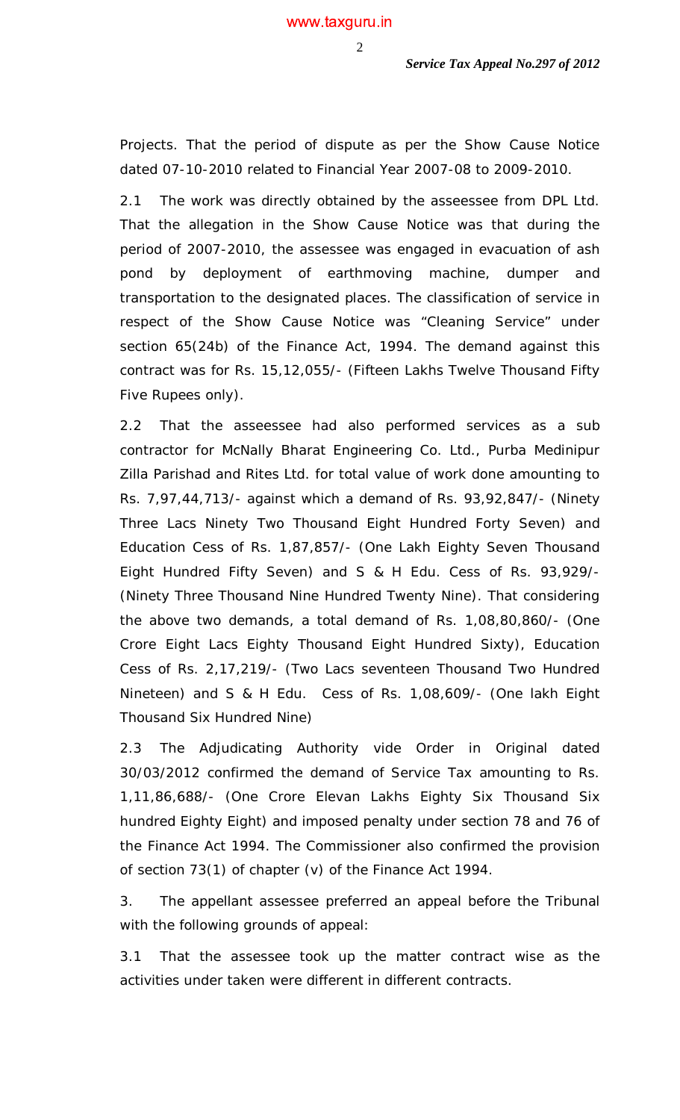Projects. That the period of dispute as per the Show Cause Notice dated 07-10-2010 related to Financial Year 2007-08 to 2009-2010.

2.1 The work was directly obtained by the asseessee from DPL Ltd. That the allegation in the Show Cause Notice was that during the period of 2007-2010, the assessee was engaged in evacuation of ash pond by deployment of earthmoving machine, dumper and transportation to the designated places. The classification of service in respect of the Show Cause Notice was "Cleaning Service" under section 65(24b) of the Finance Act, 1994. The demand against this contract was for Rs. 15,12,055/- (Fifteen Lakhs Twelve Thousand Fifty Five Rupees only).

2.2 That the asseessee had also performed services as a sub contractor for McNally Bharat Engineering Co. Ltd., Purba Medinipur Zilla Parishad and Rites Ltd. for total value of work done amounting to Rs. 7,97,44,713/- against which a demand of Rs. 93,92,847/- (Ninety Three Lacs Ninety Two Thousand Eight Hundred Forty Seven) and Education Cess of Rs. 1,87,857/- (One Lakh Eighty Seven Thousand Eight Hundred Fifty Seven) and S & H Edu. Cess of Rs. 93,929/- (Ninety Three Thousand Nine Hundred Twenty Nine). That considering the above two demands, a total demand of Rs. 1,08,80,860/- (One Crore Eight Lacs Eighty Thousand Eight Hundred Sixty), Education Cess of Rs. 2,17,219/- (Two Lacs seventeen Thousand Two Hundred Nineteen) and S & H Edu. Cess of Rs. 1,08,609/- (One lakh Eight Thousand Six Hundred Nine)

2.3 The Adjudicating Authority vide Order in Original dated 30/03/2012 confirmed the demand of Service Tax amounting to Rs. 1,11,86,688/- (One Crore Elevan Lakhs Eighty Six Thousand Six hundred Eighty Eight) and imposed penalty under section 78 and 76 of the Finance Act 1994. The Commissioner also confirmed the provision of section 73(1) of chapter (v) of the Finance Act 1994.

3. The appellant assessee preferred an appeal before the Tribunal with the following grounds of appeal:

3.1 That the assessee took up the matter contract wise as the activities under taken were different in different contracts.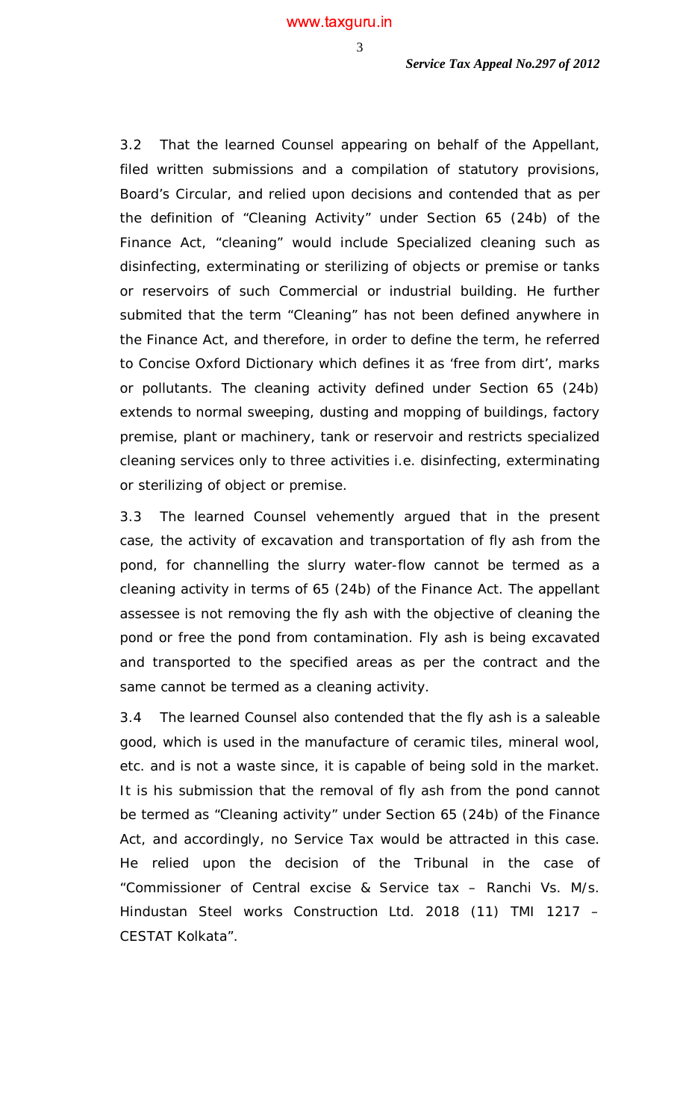3.2 That the learned Counsel appearing on behalf of the Appellant, filed written submissions and a compilation of statutory provisions, Board's Circular, and relied upon decisions and contended that as per the definition of "Cleaning Activity" under Section 65 (24b) of the Finance Act, "cleaning" would include Specialized cleaning such as disinfecting, exterminating or sterilizing of objects or premise or tanks or reservoirs of such Commercial or industrial building. He further submited that the term "Cleaning" has not been defined anywhere in the Finance Act, and therefore, in order to define the term, he referred to Concise Oxford Dictionary which defines it as 'free from dirt', marks or pollutants. The cleaning activity defined under Section 65 (24b) extends to normal sweeping, dusting and mopping of buildings, factory premise, plant or machinery, tank or reservoir and restricts specialized cleaning services only to three activities i.e. disinfecting, exterminating or sterilizing of object or premise.

3.3 The learned Counsel vehemently argued that in the present case, the activity of excavation and transportation of fly ash from the pond, for channelling the slurry water-flow cannot be termed as a cleaning activity in terms of 65 (24b) of the Finance Act. The appellant assessee is not removing the fly ash with the objective of cleaning the pond or free the pond from contamination. Fly ash is being excavated and transported to the specified areas as per the contract and the same cannot be termed as a cleaning activity.

3.4 The learned Counsel also contended that the fly ash is a saleable good, which is used in the manufacture of ceramic tiles, mineral wool, etc. and is not a waste since, it is capable of being sold in the market. It is his submission that the removal of fly ash from the pond cannot be termed as "Cleaning activity" under Section 65 (24b) of the Finance Act, and accordingly, no Service Tax would be attracted in this case. He relied upon the decision of the Tribunal in the case of "Commissioner of Central excise & Service tax – Ranchi Vs. M/s. Hindustan Steel works Construction Ltd. 2018 (11) TMI 1217 – CESTAT Kolkata".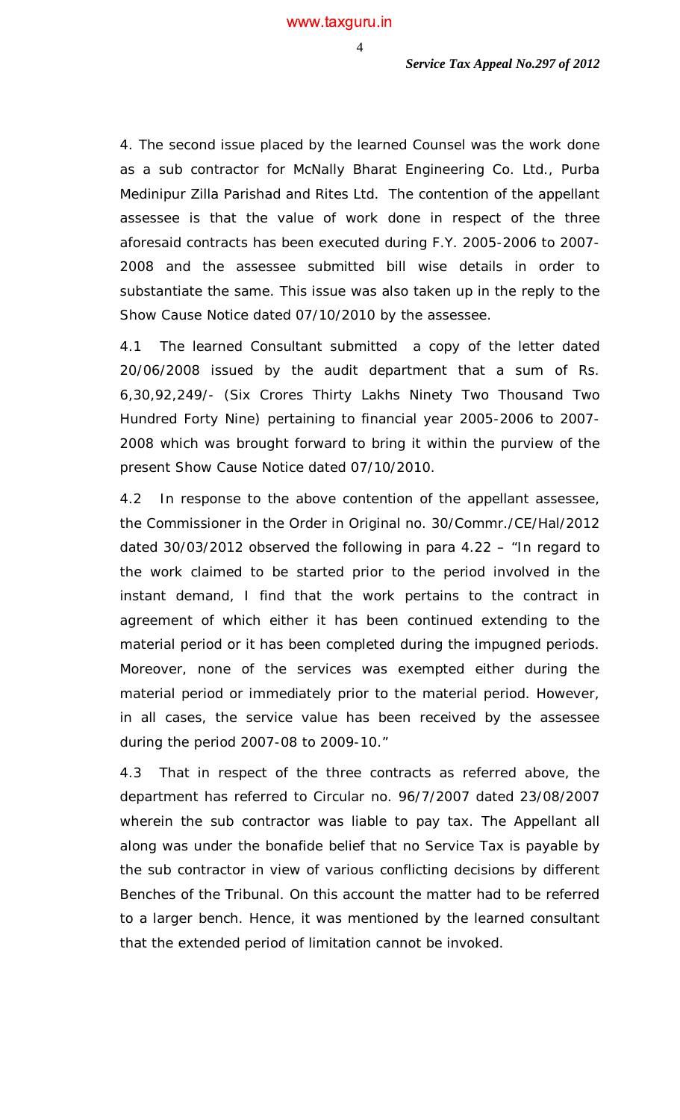4. The second issue placed by the learned Counsel was the work done as a sub contractor for McNally Bharat Engineering Co. Ltd., Purba Medinipur Zilla Parishad and Rites Ltd. The contention of the appellant assessee is that the value of work done in respect of the three aforesaid contracts has been executed during F.Y. 2005-2006 to 2007- 2008 and the assessee submitted bill wise details in order to substantiate the same. This issue was also taken up in the reply to the Show Cause Notice dated 07/10/2010 by the assessee.

4.1 The learned Consultant submitted a copy of the letter dated 20/06/2008 issued by the audit department that a sum of Rs. 6,30,92,249/- (Six Crores Thirty Lakhs Ninety Two Thousand Two Hundred Forty Nine) pertaining to financial year 2005-2006 to 2007- 2008 which was brought forward to bring it within the purview of the present Show Cause Notice dated 07/10/2010.

4.2 In response to the above contention of the appellant assessee, the Commissioner in the Order in Original no. 30/Commr./CE/Hal/2012 dated 30/03/2012 observed the following in para 4.22 – "In regard to the work claimed to be started prior to the period involved in the instant demand, I find that the work pertains to the contract in agreement of which either it has been continued extending to the material period or it has been completed during the impugned periods. Moreover, none of the services was exempted either during the material period or immediately prior to the material period. However, in all cases, the service value has been received by the assessee during the period 2007-08 to 2009-10."

4.3 That in respect of the three contracts as referred above, the department has referred to Circular no. 96/7/2007 dated 23/08/2007 wherein the sub contractor was liable to pay tax. The Appellant all along was under the bonafide belief that no Service Tax is payable by the sub contractor in view of various conflicting decisions by different Benches of the Tribunal. On this account the matter had to be referred to a larger bench. Hence, it was mentioned by the learned consultant that the extended period of limitation cannot be invoked.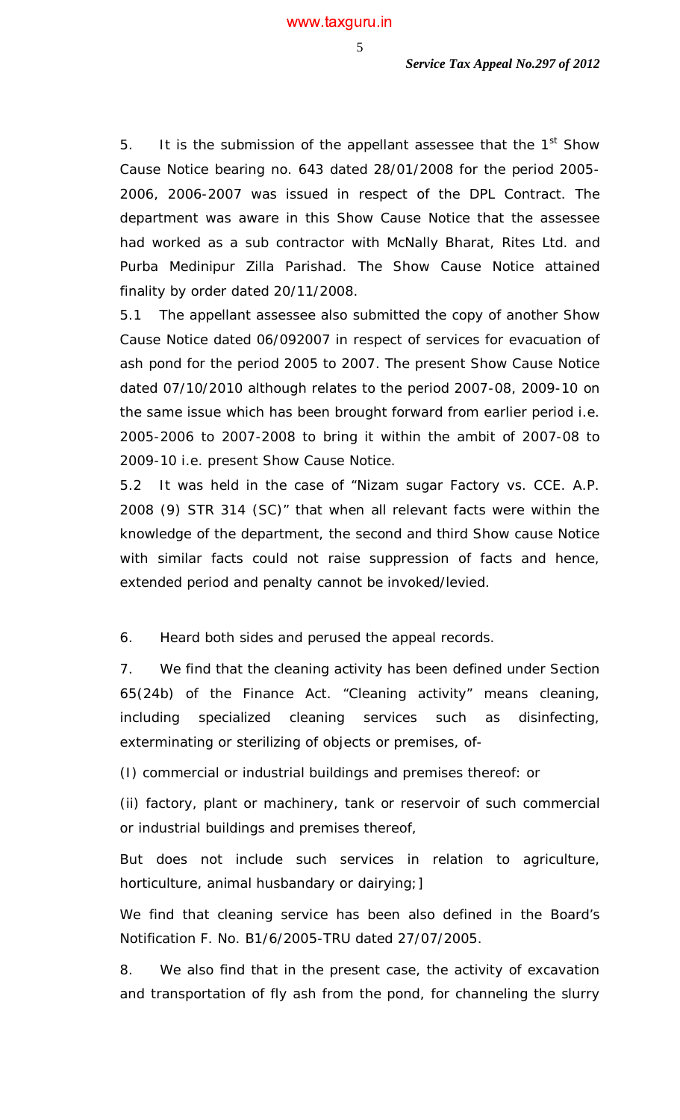5. It is the submission of the appellant assessee that the  $1<sup>st</sup>$  Show Cause Notice bearing no. 643 dated 28/01/2008 for the period 2005- 2006, 2006-2007 was issued in respect of the DPL Contract. The department was aware in this Show Cause Notice that the assessee had worked as a sub contractor with McNally Bharat, Rites Ltd. and Purba Medinipur Zilla Parishad. The Show Cause Notice attained finality by order dated 20/11/2008.

5.1 The appellant assessee also submitted the copy of another Show Cause Notice dated 06/092007 in respect of services for evacuation of ash pond for the period 2005 to 2007. The present Show Cause Notice dated 07/10/2010 although relates to the period 2007-08, 2009-10 on the same issue which has been brought forward from earlier period i.e. 2005-2006 to 2007-2008 to bring it within the ambit of 2007-08 to 2009-10 i.e. present Show Cause Notice.

5.2 It was held in the case of "Nizam sugar Factory vs. CCE. A.P. 2008 (9) STR 314 (SC)" that when all relevant facts were within the knowledge of the department, the second and third Show cause Notice with similar facts could not raise suppression of facts and hence, extended period and penalty cannot be invoked/levied.

6. Heard both sides and perused the appeal records.

7. We find that the cleaning activity has been defined under Section 65(24b) of the Finance Act. *"Cleaning activity" means cleaning, including specialized cleaning services such as disinfecting, exterminating or sterilizing of objects or premises, of-*

*(I) commercial or industrial buildings and premises thereof: or*

*(ii) factory, plant or machinery, tank or reservoir of such commercial or industrial buildings and premises thereof,*

*But does not include such services in relation to agriculture, horticulture, animal husbandary or dairying;]*

We find that cleaning service has been also defined in the Board's Notification F. No. B1/6/2005-TRU dated 27/07/2005.

8. We also find that in the present case, the activity of excavation and transportation of fly ash from the pond, for channeling the slurry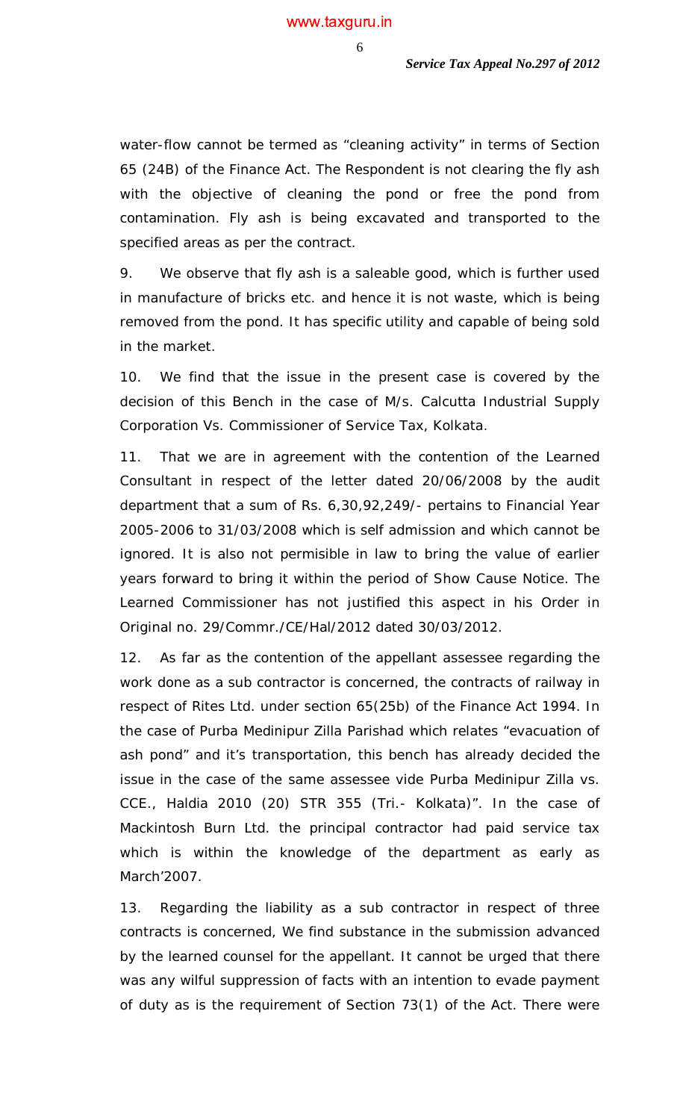water-flow cannot be termed as "cleaning activity" in terms of Section 65 (24B) of the Finance Act. The Respondent is not clearing the fly ash with the objective of cleaning the pond or free the pond from contamination. Fly ash is being excavated and transported to the specified areas as per the contract.

9. We observe that fly ash is a saleable good, which is further used in manufacture of bricks etc. and hence it is not waste, which is being removed from the pond. It has specific utility and capable of being sold in the market.

10. We find that the issue in the present case is covered by the decision of this Bench in the case of M/s. Calcutta Industrial Supply Corporation Vs. Commissioner of Service Tax, Kolkata.

11. That we are in agreement with the contention of the Learned Consultant in respect of the letter dated 20/06/2008 by the audit department that a sum of Rs. 6,30,92,249/- pertains to Financial Year 2005-2006 to 31/03/2008 which is self admission and which cannot be ignored. It is also not permisible in law to bring the value of earlier years forward to bring it within the period of Show Cause Notice. The Learned Commissioner has not justified this aspect in his Order in Original no. 29/Commr./CE/Hal/2012 dated 30/03/2012.

12. As far as the contention of the appellant assessee regarding the work done as a sub contractor is concerned, the contracts of railway in respect of Rites Ltd. under section 65(25b) of the Finance Act 1994. In the case of Purba Medinipur Zilla Parishad which relates "evacuation of ash pond" and it's transportation, this bench has already decided the issue in the case of the same assessee vide Purba Medinipur Zilla vs. CCE., Haldia 2010 (20) STR 355 (Tri.- Kolkata)". In the case of Mackintosh Burn Ltd. the principal contractor had paid service tax which is within the knowledge of the department as early as March'2007.

13. Regarding the liability as a sub contractor in respect of three contracts is concerned, We find substance in the submission advanced by the learned counsel for the appellant. It cannot be urged that there was any wilful suppression of facts with an intention to evade payment of duty as is the requirement of Section 73(1) of the Act. There were